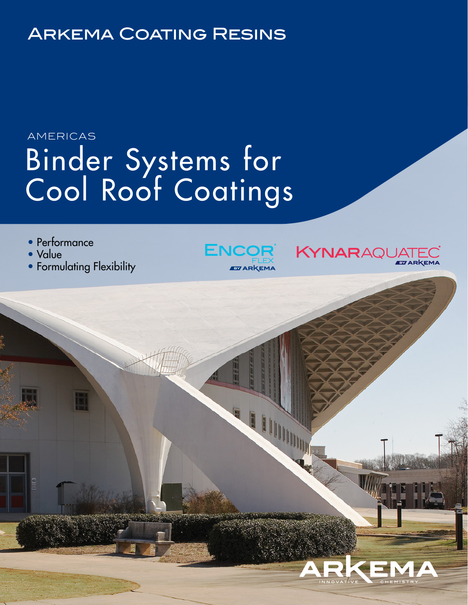# Arkema Coating Resins

# Binder Systems for Cool Roof Coatings AMERICAS

- Performance
- Value
- Formulating Flexibility





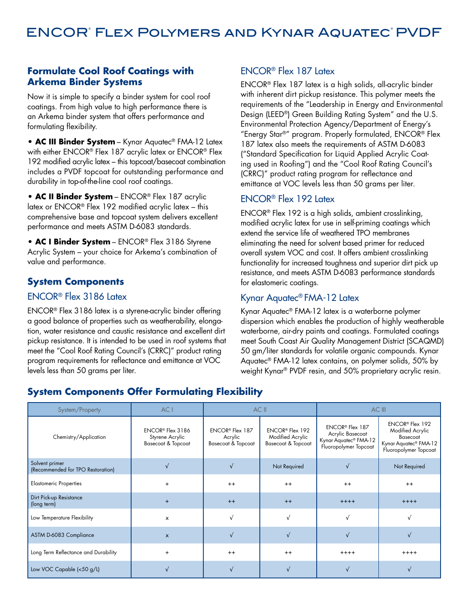#### **Formulate Cool Roof Coatings with Arkema Binder Systems**

Now it is simple to specify a binder system for cool roof coatings. From high value to high performance there is an Arkema binder system that offers performance and formulating flexibility.

**• AC III Binder System** – Kynar Aquatec® FMA-12 Latex with either ENCOR® Flex 187 acrylic latex or ENCOR® Flex 192 modified acrylic latex – this topcoat/basecoat combination includes a PVDF topcoat for outstanding performance and durability in top-of-the-line cool roof coatings.

**• AC II Binder System** – ENCOR® Flex 187 acrylic latex or ENCOR® Flex 192 modified acrylic latex – this comprehensive base and topcoat system delivers excellent performance and meets ASTM D-6083 standards.

**• AC I Binder System** – ENCOR® Flex 3186 Styrene Acrylic System – your choice for Arkema's combination of value and performance.

#### **System Components**

#### ENCOR® Flex 3186 Latex

ENCOR® Flex 3186 latex is a styrene-acrylic binder offering a good balance of properties such as weatherability, elongation, water resistance and caustic resistance and excellent dirt pickup resistance. It is intended to be used in roof systems that meet the "Cool Roof Rating Council's (CRRC)" product rating program requirements for reflectance and emittance at VOC levels less than 50 grams per liter.

#### ENCOR® Flex 187 Latex

ENCOR® Flex 187 latex is a high solids, all-acrylic binder with inherent dirt pickup resistance. This polymer meets the requirements of the "Leadership in Energy and Environmental Design (LEED®) Green Building Rating System" and the U.S. Environmental Protection Agency/Department of Energy's "Energy Star®" program. Properly formulated, ENCOR® Flex 187 latex also meets the requirements of ASTM D-6083 ("Standard Specification for Liquid Applied Acrylic Coating used in Roofing") and the "Cool Roof Rating Council's (CRRC)" product rating program for reflectance and emittance at VOC levels less than 50 grams per liter.

#### ENCOR® Flex 192 Latex

ENCOR® Flex 192 is a high solids, ambient crosslinking, modified acrylic latex for use in self-priming coatings which extend the service life of weathered TPO membranes eliminating the need for solvent based primer for reduced overall system VOC and cost. It offers ambient crosslinking functionality for increased toughness and superior dirt pick up resistance, and meets ASTM D-6083 performance standards for elastomeric coatings.

#### Kynar Aquatec® FMA-12 Latex

Kynar Aquatec® FMA-12 latex is a waterborne polymer dispersion which enables the production of highly weatherable waterborne, air-dry paints and coatings. Formulated coatings meet South Coast Air Quality Management District (SCAQMD) 50 gm/liter standards for volatile organic compounds. Kynar Aquatec® FMA-12 latex contains, on polymer solids, 50% by weight Kynar® PVDF resin, and 50% proprietary acrylic resin.

| System/Property                                     | AC I                                                      | AC II                                                                   |                                                                       |                                                                                                               | AC III                                                                                                                    |
|-----------------------------------------------------|-----------------------------------------------------------|-------------------------------------------------------------------------|-----------------------------------------------------------------------|---------------------------------------------------------------------------------------------------------------|---------------------------------------------------------------------------------------------------------------------------|
| Chemistry/Application                               | ENCOR® Flex 3186<br>Styrene Acrylic<br>Basecoat & Topcoat | ENCOR <sup>®</sup> Flex 187<br>Acrylic<br><b>Basecoat &amp; Topcoat</b> | ENCOR <sup>®</sup> Flex 192<br>Modified Acrylic<br>Basecoat & Topcoat | ENCOR <sup>®</sup> Flex 187<br>Acrylic Basecoat<br>Kynar Aquatec <sup>®</sup> FMA-12<br>Fluoropolymer Topcoat | ENCOR <sup>®</sup> Flex 192<br>Modified Acrylic<br>Basecoat<br>Kynar Aquatec <sup>®</sup> FMA-12<br>Fluoropolymer Topcoat |
| Solvent primer<br>(Recommended for TPO Restoration) |                                                           |                                                                         | Not Required                                                          |                                                                                                               | Not Required                                                                                                              |
| <b>Elastomeric Properties</b>                       | $\ddot{}$                                                 | $++$                                                                    | $^{++}$                                                               | $++$                                                                                                          | $++$                                                                                                                      |
| Dirt Pick-up Resistance<br>(long term)              | $\ddot{}$                                                 | $++$                                                                    | $++$                                                                  | $+++++$                                                                                                       | $+++++$                                                                                                                   |
| Low Temperature Flexibility                         | x                                                         |                                                                         |                                                                       |                                                                                                               |                                                                                                                           |
| ASTM D-6083 Compliance                              | $\mathsf{x}$                                              |                                                                         |                                                                       |                                                                                                               |                                                                                                                           |
| Long Term Reflectance and Durability                | $\ddot{}$                                                 | $++$                                                                    | $++$                                                                  | $+++++$                                                                                                       | $+++++$                                                                                                                   |
| Low VOC Capable (<50 g/L)                           |                                                           |                                                                         |                                                                       |                                                                                                               |                                                                                                                           |

### **System Components Offer Formulating Flexibility**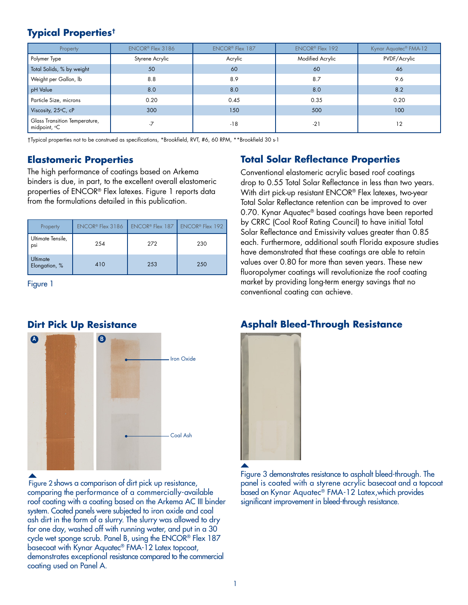### **Typical Properties†**

| Property                                      | ENCOR <sup>®</sup> Flex 3186 | <b>ENCOR® Flex 187</b> | <b>ENCOR® Flex 192</b> | Kynar Aquatec <sup>®</sup> FMA-12 |
|-----------------------------------------------|------------------------------|------------------------|------------------------|-----------------------------------|
| Polymer Type                                  | Styrene Acrylic              | Acrylic                | Modified Acrylic       | PVDF/Acrylic                      |
| Total Solids, % by weight                     | 50                           | 60                     | 60                     | 46                                |
| Weight per Gallon, lb                         | 8.8                          | 8.9                    | 8.7                    | 9.6                               |
| pH Value                                      | 8.0                          | 8.0                    | 8.0                    | 8.2                               |
| Particle Size, microns                        | 0.20                         | 0.45                   | 0.35                   | 0.20                              |
| Viscosity, 25°C, cP                           | 300                          | 150                    | 500                    | 100                               |
| Glass Transition Temperature,<br>midpoint, °C |                              | $-18$                  | $-21$                  | 12                                |

†Typical properties not to be construed as specifications, \*Brookfield, RVT, #6, 60 RPM, \*\*Brookfield 30 s-1

The high performance of coatings based on Arkema binders is due, in part, to the excellent overall elastomeric properties of ENCOR® Flex latexes. Figure 1 reports data from the formulations detailed in this publication.

| Property                         | ENCOR <sup>®</sup> Flex 3186 | ENCOR <sup>®</sup> Flex 187 ENCOR® Flex 192 |     |
|----------------------------------|------------------------------|---------------------------------------------|-----|
| Ultimate Tensile,<br>psi         | 254                          | 272                                         | 230 |
| <b>Ultimate</b><br>Elongation, % | 410                          | 253                                         | 250 |

Figure 1

#### **Dirt Pick Up Resistance**



Figure 2 shows a comparison of dirt pick up resistance, comparing the performance of a commercially-available roof coating with a coating based on the Arkema AC III binder system. Coated panels were subjected to iron oxide and coal ash dirt in the form of a slurry. The slurry was allowed to dry for one day, washed off with running water, and put in a 30 cycle wet sponge scrub. Panel B, using the ENCOR® Flex 187 basecoat with Kynar Aquatec® FMA-12 Latex topcoat, demonstrates exceptional resistance compared to the commercial coating used on Panel A.

#### **Elastomeric Properties Total Solar Reflectance Properties**

Conventional elastomeric acrylic based roof coatings drop to 0.55 Total Solar Reflectance in less than two years. With dirt pick-up resistant ENCOR® Flex latexes, two-year Total Solar Reflectance retention can be improved to over 0.70. Kynar Aquatec® based coatings have been reported by CRRC (Cool Roof Rating Council) to have initial Total Solar Reflectance and Emissivity values greater than 0.85 each. Furthermore, additional south Florida exposure studies have demonstrated that these coatings are able to retain values over 0.80 for more than seven years. These new fluoropolymer coatings will revolutionize the roof coating market by providing long-term energy savings that no conventional coating can achieve.

#### **Asphalt Bleed-Through Resistance**



Figure 3 demonstrates resistance to asphalt bleed-through. The panel is coated with a styrene acrylic basecoat and a topcoat based on Kynar Aquatec® FMA-12 Latex,which provides significant improvement in bleed-through resistance.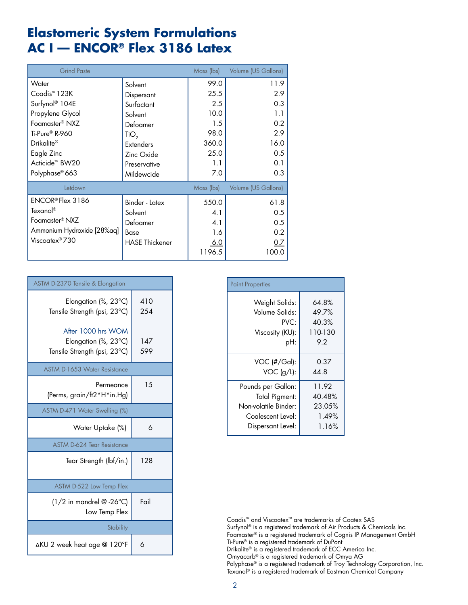# **Elastomeric System Formulations AC I — ENCOR® Flex 3186 Latex**

| <b>Grind Paste</b>           |                       | Mass (lbs) | Volume (US Gallons) |
|------------------------------|-----------------------|------------|---------------------|
| Water                        | Solvent               | 99.0       | 11.9                |
| Coadis™ 123K                 | Dispersant            | 25.5       | 2.9                 |
| Surfynol <sup>®</sup> 104E   | Surfactant            | 2.5        | 0.3                 |
| Propylene Glycol             | Solvent               | 10.0       | 1.1                 |
| Foamaster <sup>®</sup> NXZ   | Defoamer              | 1.5        | 0.2                 |
| Ti-Pure® R-960               | TiO <sub>2</sub>      | 98.0       | 2.9                 |
| Drikalite®                   | <b>Extenders</b>      | 360.0      | 16.0                |
| Eagle Zinc                   | Zinc Oxide            | 25.0       | 0.5                 |
| Acticide <sup>™</sup> BW20   | Preservative          | 1.1        | 0.1                 |
| Polyphase <sup>®</sup> 663   | Mildewcide            | 7.0        | 0.3                 |
| Letdown                      |                       | Mass (lbs) | Volume (US Gallons) |
| ENCOR <sup>®</sup> Flex 3186 | Binder - Latex        | 550.0      | 61.8                |
| Texanol®                     | Solvent               | 4.1        | 0.5                 |
| Foamaster <sup>®</sup> NXZ   | Defoamer              | 4.1        | 0.5                 |
| Ammonium Hydroxide [28%aq]   | Base                  | 1.6        | 0.2                 |
| Viscoatex®730                | <b>HASE Thickener</b> | <u>6.0</u> | <u>0.7</u>          |
|                              |                       | 1196.5     | 100.0               |

| <b>ASTM D-2370 Tensile &amp; Elongation</b>                                |            |
|----------------------------------------------------------------------------|------------|
| Elongation (%, 23 $^{\circ}$ C)<br>Tensile Strength (psi, 23°C)            | 410<br>254 |
| After 1000 hrs WOM<br>Elongation (%, 23°C)<br>Tensile Strength (psi, 23°C) | 147<br>599 |
| <b>ASTM D-1653 Water Resistance</b>                                        |            |
| Permeance<br>(Perms, grain/ft2*H*in.Hg)                                    | 15         |
| ASTM D-471 Water Swelling (%)                                              |            |
| Water Uptake (%)                                                           | 6          |
| ASTM D-624 Tear Resistance                                                 |            |
| Tear Strength (lbf/in.)                                                    | 128        |
| ASTM D-522 Low Temp Flex                                                   |            |
| $(1/2$ in mandrel @ -26°C)<br>Low Temp Flex                                | Fail       |
| <b>Stability</b>                                                           |            |
| ∆KU 2 week heat age @ 120°F                                                | 6          |

| <b>Paint Properties</b> |         |
|-------------------------|---------|
| Weight Solids:          | 64.8%   |
| Volume Solids:          | 49.7%   |
| PVC:                    | 40.3%   |
| Viscosity (KU):         | 110-130 |
| pH:                     | 9.2     |
| $VOC$ (#/Gal):          | 0.37    |
| $VOC$ (g/L):            | 44.8    |
| Pounds per Gallon:      | 11.92   |
| Total Pigment:          | 40.48%  |
| Non-volatile Binder:    | 23.05%  |
| Coalescent Level:       | 1.49%   |
| Dispersant Level:       | 1.16%   |

Coadis™ and Viscoatex™ are trademarks of Coatex SAS Surfynol® is a registered trademark of Air Products & Chemicals Inc. Foamaster® is a registered trademark of Cognis IP Management GmbH Ti-Pure® is a registered trademark of DuPont Drikalite® is a registered trademark of ECC America Inc. Omyacarb® is a registered trademark of Omya AG Polyphase® is a registered trademark of Troy Technology Corporation, Inc. Texanol® is a registered trademark of Eastman Chemical Company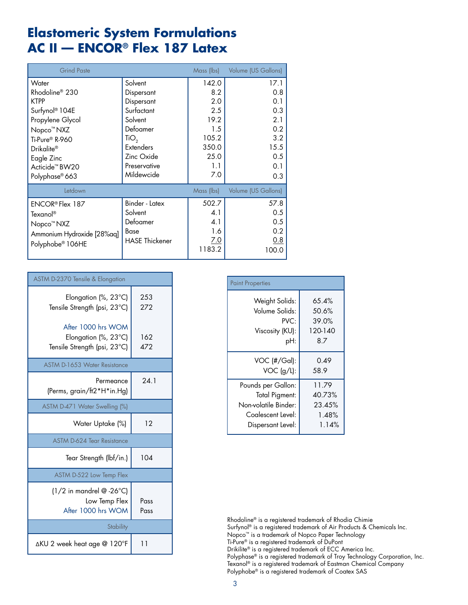# **Elastomeric System Formulations AC II — ENCOR® Flex 187 Latex**

| <b>Grind Paste</b>           |                       | Mass (lbs) | Volume (US Gallons) |
|------------------------------|-----------------------|------------|---------------------|
| Water                        | Solvent               | 142.0      | 17.1                |
| Rhodoline <sup>®</sup> 230   | Dispersant            | 8.2        | 0.8                 |
| <b>KTPP</b>                  | Dispersant            | 2.0        | 0.1                 |
| Surfynol® 104E               | Surfactant            | 2.5        | 0.3                 |
| Propylene Glycol             | Solvent               | 19.2       | 2.1                 |
| Nopco <sup>™</sup> NXZ       | Defoamer              | 1.5        | 0.2                 |
| Ti-Pure® R-960               | TiO <sub>2</sub>      | 105.2      | 3.2                 |
| Drikalite®                   | <b>Extenders</b>      | 350.0      | 15.5                |
| Eagle Zinc                   | Zinc Oxide            | 25.0       | 0.5                 |
| Acticide <sup>™</sup> BW20   | Preservative          | 1.1        | 0.1                 |
| Polyphase <sup>®</sup> 663   | Mildewcide            | 7.0        | 0.3                 |
| Letdown                      |                       | Mass (lbs) | Volume (US Gallons) |
| ENCOR® Flex 187              | Binder - Latex        | 502.7      | 57.8                |
| Texanol®                     | Solvent               | 4.1        | 0.5                 |
| Nopco <sup>™</sup> NXZ       | Defoamer              | 4.1        | 0.5                 |
| Ammonium Hydroxide [28%aq]   | Base                  | 1.6        | 0.2                 |
| Polyphobe <sup>®</sup> 106HE | <b>HASE Thickener</b> | <u>7.0</u> | 0.8                 |
|                              |                       | 1183.2     | 100.0               |

| <b>ASTM D-2370 Tensile &amp; Elongation</b>                                  |              |
|------------------------------------------------------------------------------|--------------|
| Elongation (%, 23°C)<br>Tensile Strength (psi, 23°C)                         | 253<br>272   |
| After 1000 hrs WOM<br>Elongation (%, 23°C)<br>Tensile Strength (psi, 23°C)   | 162<br>472   |
| ASTM D-1653 Water Resistance                                                 |              |
| Permeance<br>(Perms, grain/ft2*H*in.Hg)                                      | 24.1         |
| ASTM D-471 Water Swelling (%)                                                |              |
| Water Uptake (%)                                                             | 12           |
| <b>ASTM D-624 Tear Resistance</b>                                            |              |
| Tear Strength (lbf/in.)                                                      | 104          |
| ASTM D-522 Low Temp Flex                                                     |              |
| $(1/2$ in mandrel @ -26 $^{\circ}$ C)<br>Low Temp Flex<br>After 1000 hrs WOM | Pass<br>Pass |
| <b>Stability</b>                                                             |              |
| ∆KU 2 week heat age @ 120°F                                                  | 11           |

| <b>Paint Properties</b> |         |
|-------------------------|---------|
| Weight Solids:          | 65.4%   |
| Volume Solids:          | 50.6%   |
| PVC:                    | 39.0%   |
| Viscosity (KU):         | 120-140 |
| pH:                     | 8.7     |
| $VOC$ $(\#/Gal)$ :      | 0.49    |
| $VOC$ (g/L):            | 58.9    |
| Pounds per Gallon:      | 11.79   |
| Total Pigment:          | 40.73%  |
| Non-volatile Binder:    | 23.45%  |
| Coalescent Level:       | 1.48%   |
| Dispersant Level:       | 1.14%   |

Rhodoline® is a registered trademark of Rhodia Chimie Surfynol® is a registered trademark of Air Products & Chemicals Inc. Nopco™ is a trademark of Nopco Paper Technology Ti-Pure® is a registered trademark of DuPont Drikilite® is a registered trademark of ECC America Inc. Polyphase® is a registered trademark of Troy Technology Corporation, Inc. Texanol® is a registered trademark of Eastman Chemical Company Polyphobe® is a registered trademark of Coatex SAS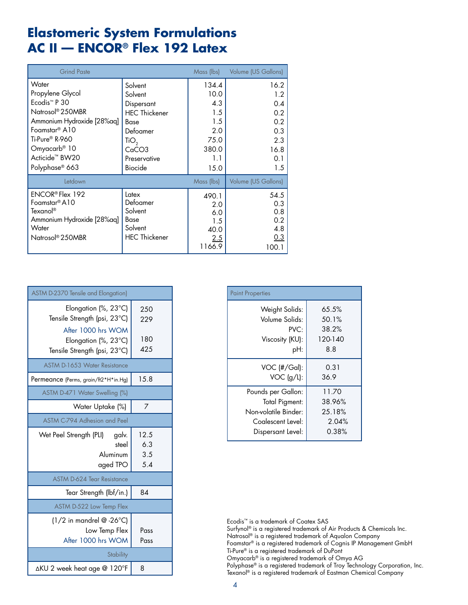# **Elastomeric System Formulations AC II — ENCOR® Flex 192 Latex**

| <b>Grind Paste</b>           |                      | Mass (lbs) | Volume (US Gallons) |
|------------------------------|----------------------|------------|---------------------|
| Water                        | Solvent              | 134.4      | 16.2                |
| Propylene Glycol             | Solvent              | 10.0       | 1.2                 |
| Ecodis <sup>™</sup> P 30     | Dispersant           | 4.3        | 0.4                 |
| Natrosol <sup>®</sup> 250MBR | <b>HEC Thickener</b> | 1.5        | 0.2                 |
| Ammonium Hydroxide [28%aq]   | Base                 | 1.5        | 0.2                 |
| Foamstar <sup>®</sup> A10    | Defoamer             | 2.0        | 0.3                 |
| Ti-Pure® R-960               | TiO <sub>2</sub>     | 75.0       | 2.3                 |
| Omyacarb® 10                 | CaCO3                | 380.0      | 16.8                |
| Acticide <sup>™</sup> BW20   | Preservative         | 1.1        | 0.1                 |
| Polyphase <sup>®</sup> 663   | <b>Biocide</b>       | 15.0       | 1.5                 |
| Letdown                      |                      | Mass (lbs) | Volume (US Gallons) |
| ENCOR <sup>®</sup> Flex 192  | Latex                | 490.1      | 54.5                |
| Foamstar® A10                | Defoamer             | 2.0        | 0.3                 |
| Texanol <sup>®</sup>         | Solvent              | 6.0        | 0.8                 |
| Ammonium Hydroxide [28%aq]   | <b>Base</b>          | 1.5        | 0.2                 |
| Water                        | Solvent              | 40.0       | 4.8                 |
| Natrosol <sup>®</sup> 250MBR | <b>HEC Thickener</b> | 2.5        | 0.3                 |
|                              |                      | 1166.9     | 100.1               |

| <b>ASTM D-2370 Tensile and Elongation)</b>                                 |                           |
|----------------------------------------------------------------------------|---------------------------|
| Elongation (%, 23°C)<br>Tensile Strength (psi, 23°C)                       | 250<br>229                |
| After 1000 hrs WOM<br>Elongation (%, 23°C)<br>Tensile Strength (psi, 23°C) | 180<br>425                |
| ASTM D-1653 Water Resistance                                               |                           |
| Permeance (Perms, grain/ft2*H*in.Hg)                                       | 15.8                      |
| ASTM D-471 Water Swelling (%)                                              |                           |
| Water Uptake (%)                                                           | 7                         |
| ASTM C-794 Adhesion and Peel                                               |                           |
| Wet Peel Strength (PLI)<br>galv.<br>steel<br>Aluminum<br>aged TPO          | 12.5<br>6.3<br>3.5<br>5.4 |
| <b>ASTM D-624 Tear Resistance</b>                                          |                           |
| Tear Strength (lbf/in.)                                                    | 84                        |
| ASTM D-522 Low Temp Flex                                                   |                           |
| $(1/2$ in mandrel @ -26°C)<br>Low Temp Flex<br>After 1000 hrs WOM          | Pass<br>Pass              |
| <b>Stability</b>                                                           |                           |
| ∆KU 2 week heat age @ 120°F                                                | 8                         |

| <b>Paint Properties</b> |         |
|-------------------------|---------|
| Weight Solids:          | 65.5%   |
| Volume Solids:          | 50.1%   |
| PVC:                    | 38.2%   |
| Viscosity (KU):         | 120-140 |
| pH:                     | 8.8     |
| VOC (#/Gal):            | 0.31    |
| $VOC$ (g/L):            | 36.9    |
| Pounds per Gallon:      | 11.70   |
| Total Pigment:          | 38.96%  |
| Non-volatile Binder:    | 25.18%  |
| Coalescent Level:       | 2.04%   |
| Dispersant Level:       | 0.38%   |

Ecodis™ is a trademark of Coatex SAS Surfynol® is a registered trademark of Air Products & Chemicals Inc. Natrosol® is a registered trademark of Aqualon Company Foamstar® is a registered trademark of Cognis IP Management GmbH Ti-Pure® is a registered trademark of DuPont Omyacarb® is a registered trademark of Omya AG Polyphase® is a registered trademark of Troy Technology Corporation, Inc. Texanol® is a registered trademark of Eastman Chemical Company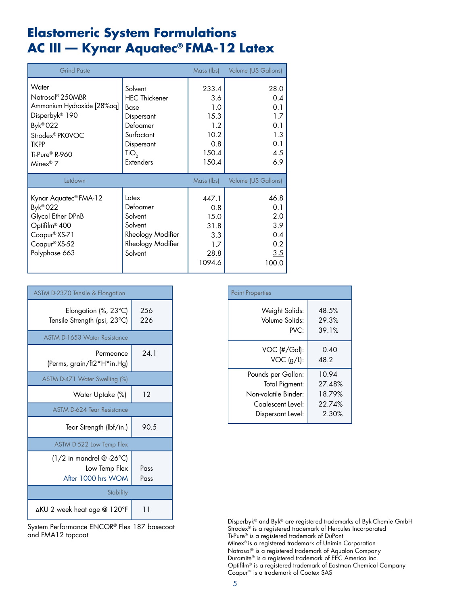# **Elastomeric System Formulations AC III — Kynar Aquatec® FMA-12 Latex**

| <b>Grind Paste</b>                                                                                                                                                              |                                                                                                                           | Mass (lbs)                                                          | Volume (US Gallons)                                          |
|---------------------------------------------------------------------------------------------------------------------------------------------------------------------------------|---------------------------------------------------------------------------------------------------------------------------|---------------------------------------------------------------------|--------------------------------------------------------------|
| Water<br>Natrosol® 250MBR<br>Ammonium Hydroxide [28%aq]<br>Disperbyk <sup>®</sup> 190<br>Byk® 022<br>Strodex® PKOVOC<br><b>TKPP</b><br>Ti-Pure® R-960<br>Minex <sup>®</sup> $7$ | Solvent<br><b>HEC Thickener</b><br>Base<br>Dispersant<br>Defoamer<br>Surfactant<br>Dispersant<br>TiO,<br><b>Extenders</b> | 233.4<br>3.6<br>1.0<br>15.3<br>1.2<br>10.2<br>0.8<br>150.4<br>150.4 | 28.0<br>0.4<br>0.1<br>1.7<br>0.1<br>1.3<br>0.1<br>4.5<br>6.9 |
| Letdown                                                                                                                                                                         |                                                                                                                           | Mass (lbs)                                                          | Volume (US Gallons)                                          |
| Kynar Aquatec <sup>®</sup> FMA-12<br>Byk® 022<br>Glycol Ether DPnB<br>Optifilm <sup>®</sup> 400<br>Coapur <sup>®</sup> XS-71<br>Coapur® XS-52<br>Polyphase 663                  | Latex<br>Defoamer<br>Solvent<br>Solvent<br>Rheology Modifier<br>Rheology Modifier<br>Solvent                              | 447.1<br>0.8<br>15.0<br>31.8<br>3.3<br>1.7<br>28.8<br>1094.6        | 46.8<br>0.1<br>2.0<br>3.9<br>0.4<br>0.2<br>3.5<br>100.0      |

| ASTM D-2370 Tensile & Elongation                                  |              |  |  |
|-------------------------------------------------------------------|--------------|--|--|
| Elongation (%, 23°C)<br>Tensile Strength (psi, 23°C)              | 256<br>226   |  |  |
| <b>ASTM D-1653 Water Resistance</b>                               |              |  |  |
| Permeance<br>(Perms, grain/ft2*H*in.Hg)                           | 24.1         |  |  |
| ASTM D-471 Water Swelling (%)                                     |              |  |  |
| Water Uptake (%)                                                  | 12           |  |  |
| <b>ASTM D-624 Tear Resistance</b>                                 |              |  |  |
| Tear Strength (lbf/in.)                                           | 90.5         |  |  |
| ASTM D-522 Low Temp Flex                                          |              |  |  |
| $(1/2$ in mandrel @ -26°C)<br>Low Temp Flex<br>After 1000 hrs WOM | Pass<br>Pass |  |  |
| Stability                                                         |              |  |  |
| ∆KU 2 week heat age @ 120°F                                       | -1           |  |  |

| <b>Paint Properties</b> |        |  |  |
|-------------------------|--------|--|--|
| Weight Solids:          | 48.5%  |  |  |
| Volume Solids:          | 29.3%  |  |  |
| PVC:                    | 39.1%  |  |  |
| VOC (#/Gal):            | 0.40   |  |  |
| $VOC$ (g/L):            | 48.2   |  |  |
| Pounds per Gallon:      | 10.94  |  |  |
| Total Pigment:          | 27.48% |  |  |
| Non-volatile Binder:    | 18.79% |  |  |
| Coglescent Level:       | 22.74% |  |  |
| Dispersant Level:       | 2.30%  |  |  |

Disperbyk® and Byk® are registered trademarks of Byk-Chemie GmbH Strodex<sup>®</sup> is a registered trademark of Hercules Incorporated Ti-Pure® is a registered trademark of DuPont Minex® is a registered trademark of Unimin Corporation Natrosol® is a registered trademark of Aqualon Company Duramite® is a registered trademark of EEC America inc. Optifilm® is a registered trademark of Eastman Chemical Company Coapur™ is a trademark of Coatex SAS

System Performance ENCOR® Flex 187 basecoat and FMA12 topcoat